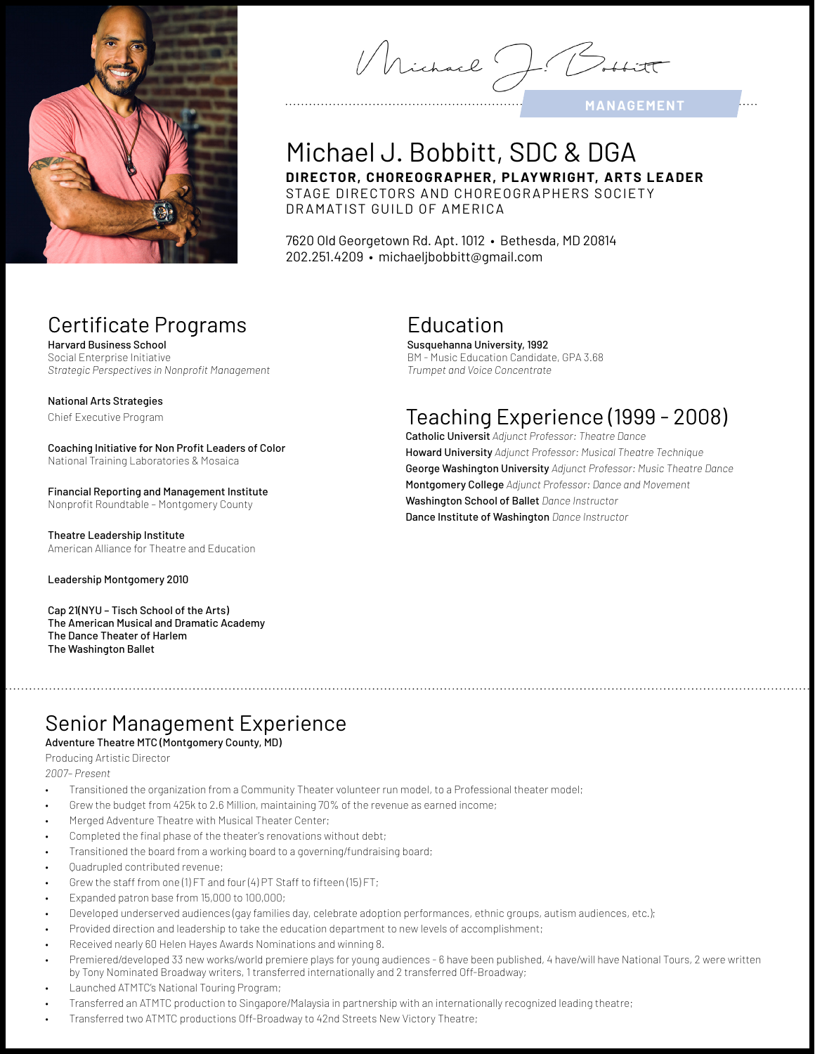

Michael J.

**MANAGEMENT** 

# Michael J. Bobbitt, SDC & DGA

**DIRECTOR, CHOREOGR APHER, PL AYWRIGHT, ARTS LEADER** STAGE DIRECTORS AND CHOREOGRAPHERS SOCIETY DR AMATIST GUILD OF AMERICA

7620 Old Georgetown Rd. Apt. 1012 • Bethesda, MD 20814 202.251.4209 • michaeljbobbitt@gmail.com

# Certificate Programs

Harvard Business School Social Enterprise Initiative *Strategic Perspectives in Nonprofit Management*

#### National Arts Strategies

Chief Executive Program

Coaching Initiative for Non Profit Leaders of Color National Training Laboratories & Mosaica

Financial Reporting and Management Institute Nonprofit Roundtable – Montgomery County

Theatre Leadership Institute American Alliance for Theatre and Education

Leadership Montgomery 2010

Cap 21(NYU – Tisch School of the Arts) The American Musical and Dramatic Academy The Dance Theater of Harlem The Washington Ballet

# Education

Susquehanna University, 1992 BM - Music Education Candidate, GPA 3.68 *Trumpet and Voice Concentrate*

# Teaching Experience (1999 - 2008)

Catholic Universit *Adjunct Professor: Theatre Dance* Howard University *Adjunct Professor: Musical Theatre Technique* George Washington University *Adjunct Professor: Music Theatre Dance* Montgomery College *Adjunct Professor: Dance and Movement*  Washington School of Ballet *Dance Instructor*  Dance Institute of Washington *Dance Instructor* 

# Senior Management Experience

### Adventure Theatre MTC (Montgomery County, MD)

#### Producing Artistic Director

*2007– Present*

- Transitioned the organization from a Community Theater volunteer run model, to a Professional theater model;
- Grew the budget from 425k to 2.6 Million, maintaining 70% of the revenue as earned income;
- Merged Adventure Theatre with Musical Theater Center;
- Completed the final phase of the theater's renovations without debt;
- Transitioned the board from a working board to a governing/fundraising board;
- Quadrupled contributed revenue;
- Grew the staff from one (1) FT and four (4) PT Staff to fifteen (15) FT;
- Expanded patron base from 15,000 to 100,000;
- Developed underserved audiences (gay families day, celebrate adoption performances, ethnic groups, autism audiences, etc.);
- Provided direction and leadership to take the education department to new levels of accomplishment;
- Received nearly 60 Helen Hayes Awards Nominations and winning 8.
- Premiered/developed 33 new works/world premiere plays for young audiences 6 have been published, 4 have/will have National Tours, 2 were written by Tony Nominated Broadway writers, 1 transferred internationally and 2 transferred Off-Broadway;
- Launched ATMTC's National Touring Program;
- Transferred an ATMTC production to Singapore/Malaysia in partnership with an internationally recognized leading theatre;
- Transferred two ATMTC productions Off-Broadway to 42nd Streets New Victory Theatre;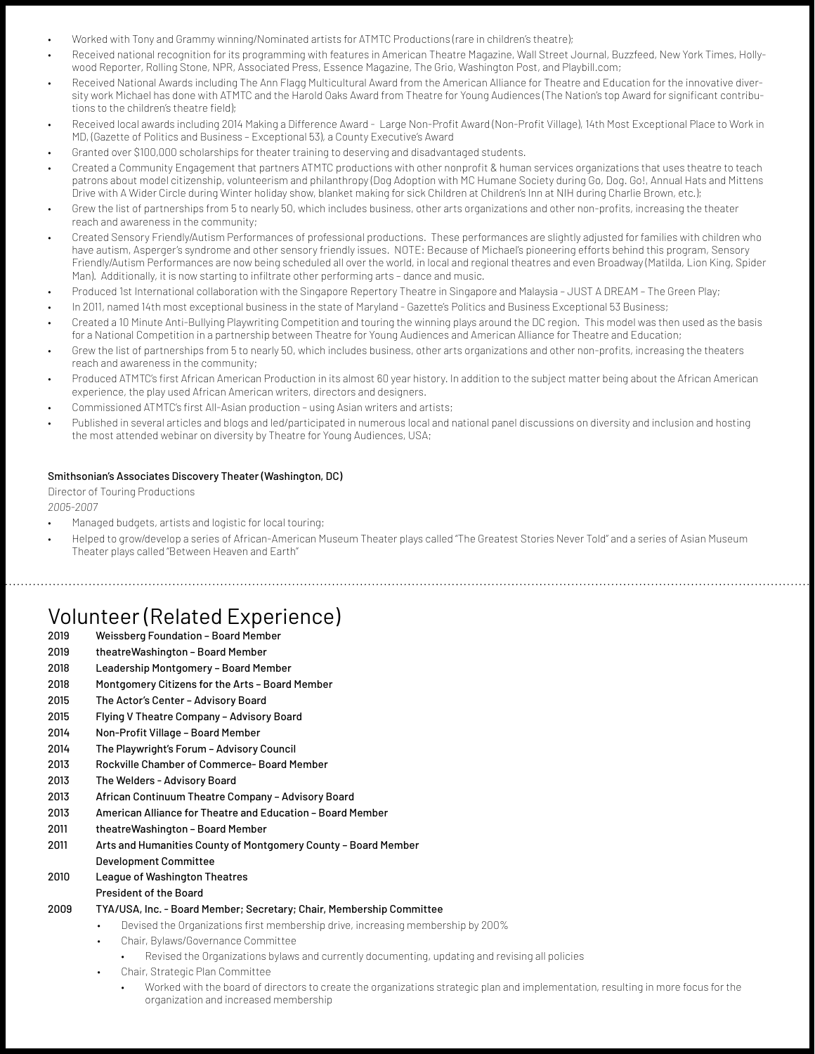- Worked with Tony and Grammy winning/Nominated artists for ATMTC Productions (rare in children's theatre);
- Received national recognition for its programming with features in American Theatre Magazine, Wall Street Journal, Buzzfeed, New York Times, Hollywood Reporter, Rolling Stone, NPR, Associated Press, Essence Magazine, The Grio, Washington Post, and Playbill.com;
- Received National Awards including The Ann Flagg Multicultural Award from the American Alliance for Theatre and Education for the innovative diversity work Michael has done with ATMTC and the Harold Oaks Award from Theatre for Young Audiences (The Nation's top Award for significant contributions to the children's theatre field);
- Received local awards including 2014 Making a Difference Award Large Non-Profit Award (Non-Profit Village), 14th Most Exceptional Place to Work in MD, (Gazette of Politics and Business – Exceptional 53), a County Executive's Award
- Granted over \$100,000 scholarships for theater training to deserving and disadvantaged students.
- Created a Community Engagement that partners ATMTC productions with other nonprofit & human services organizations that uses theatre to teach patrons about model citizenship, volunteerism and philanthropy (Dog Adoption with MC Humane Society during Go, Dog. Go!, Annual Hats and Mittens Drive with A Wider Circle during Winter holiday show, blanket making for sick Children at Children's Inn at NIH during Charlie Brown, etc.);
- Grew the list of partnerships from 5 to nearly 50, which includes business, other arts organizations and other non-profits, increasing the theater reach and awareness in the community;
- Created Sensory Friendly/Autism Performances of professional productions. These performances are slightly adjusted for families with children who have autism, Asperger's syndrome and other sensory friendly issues. NOTE: Because of Michael's pioneering efforts behind this program, Sensory Friendly/Autism Performances are now being scheduled all over the world, in local and regional theatres and even Broadway (Matilda, Lion King, Spider Man). Additionally, it is now starting to infiltrate other performing arts – dance and music.
- Produced 1st International collaboration with the Singapore Repertory Theatre in Singapore and Malaysia JUST A DREAM The Green Play;
- In 2011, named 14th most exceptional business in the state of Maryland Gazette's Politics and Business Exceptional 53 Business;
- Created a 10 Minute Anti-Bullying Playwriting Competition and touring the winning plays around the DC region. This model was then used as the basis for a National Competition in a partnership between Theatre for Young Audiences and American Alliance for Theatre and Education;
- Grew the list of partnerships from 5 to nearly 50, which includes business, other arts organizations and other non-profits, increasing the theaters reach and awareness in the community;
- Produced ATMTC's first African American Production in its almost 60 year history. In addition to the subject matter being about the African American experience, the play used African American writers, directors and designers.
- Commissioned ATMTC's first All-Asian production using Asian writers and artists;
- Published in several articles and blogs and led/participated in numerous local and national panel discussions on diversity and inclusion and hosting the most attended webinar on diversity by Theatre for Young Audiences, USA;

#### Smithsonian's Associates Discovery Theater (Washington, DC)

Director of Touring Productions *2005-2007*

- Managed budgets, artists and logistic for local touring;
- Helped to grow/develop a series of African-American Museum Theater plays called "The Greatest Stories Never Told" and a series of Asian Museum Theater plays called "Between Heaven and Earth"

### Volunteer (Related Experience)

- 2019 Weissberg Foundation Board Member
- 2019 theatreWashington Board Member
- 2018 Leadership Montgomery Board Member
- 2018 Montgomery Citizens for the Arts Board Member
- 2015 The Actor's Center Advisory Board
- 2015 Flying V Theatre Company Advisory Board
- 2014 Non-Profit Village Board Member
- 2014 The Playwright's Forum Advisory Council
- 2013 Rockville Chamber of Commerce- Board Member
- 2013 The Welders Advisory Board
- 2013 African Continuum Theatre Company Advisory Board
- 2013 American Alliance for Theatre and Education Board Member
- 2011 theatreWashington Board Member
- 2011 Arts and Humanities County of Montgomery County Board Member
- Development Committee
- 2010 League of Washington Theatres
- President of the Board
- 2009 TYA/USA, Inc. Board Member; Secretary; Chair, Membership Committee
	- Devised the Organizations first membership drive, increasing membership by 200%
		- Chair, Bylaws/Governance Committee
			- Revised the Organizations bylaws and currently documenting, updating and revising all policies
		- Chair, Strategic Plan Committee
			- Worked with the board of directors to create the organizations strategic plan and implementation, resulting in more focus for the organization and increased membership